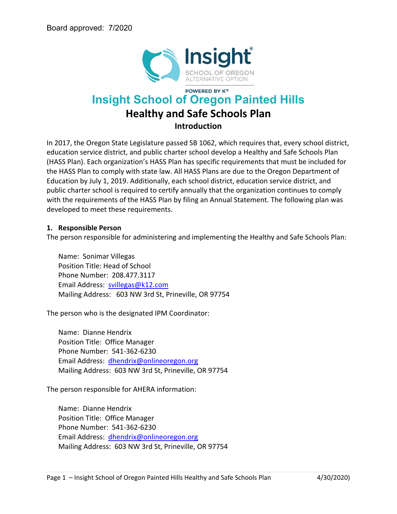

# **POWERED BY K12 Insight School of Oregon Painted Hills Healthy and Safe Schools Plan Introduction**

In 2017, the Oregon State Legislature passed SB 1062, which requires that, every school district, education service district, and public charter school develop a Healthy and Safe Schools Plan (HASS Plan). Each organization's HASS Plan has specific requirements that must be included for the HASS Plan to comply with state law. All HASS Plans are due to the Oregon Department of Education by July 1, 2019. Additionally, each school district, education service district, and public charter school is required to certify annually that the organization continues to comply with the requirements of the HASS Plan by filing an Annual Statement. The following plan was developed to meet these requirements.

#### **1. Responsible Person**

The person responsible for administering and implementing the Healthy and Safe Schools Plan:

Name: Sonimar Villegas Position Title: Head of School Phone Number: 208.477.3117 Email Address: [svillegas@k12.com](mailto:svillegas@k12.com)  Mailing Address: 603 NW 3rd St, Prineville, OR 97754

The person who is the designated IPM Coordinator:

Name: Dianne Hendrix Position Title: Office Manager Phone Number: 541-362-6230 Email Address: [dhendrix@onlineoregon.org](mailto:dhendrix@onlineoregon.org)  Mailing Address: 603 NW 3rd St, Prineville, OR 97754

The person responsible for AHERA information:

Name: Dianne Hendrix Position Title: Office Manager Phone Number: 541-362-6230 Email Address: [dhendrix@onlineoregon.org](mailto:dhendrix@onlineoregon.org)  Mailing Address: 603 NW 3rd St, Prineville, OR 97754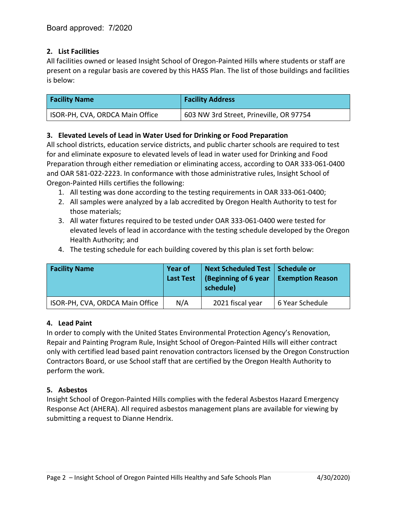## **2. List Facilities**

All facilities owned or leased Insight School of Oregon-Painted Hills where students or staff are present on a regular basis are covered by this HASS Plan. The list of those buildings and facilities is below:

| <b>Facility Name</b>            | <b>Facility Address</b>                 |
|---------------------------------|-----------------------------------------|
| ISOR-PH, CVA, ORDCA Main Office | 603 NW 3rd Street, Prineville, OR 97754 |

## **3. Elevated Levels of Lead in Water Used for Drinking or Food Preparation**

All school districts, education service districts, and public charter schools are required to test for and eliminate exposure to elevated levels of lead in water used for Drinking and Food Preparation through either remediation or eliminating access, according to OAR 333-061-0400 and OAR 581-022-2223. In conformance with those administrative rules, Insight School of Oregon-Painted Hills certifies the following:

- 1. All testing was done according to the testing requirements in OAR 333-061-0400;
- 2. All samples were analyzed by a lab accredited by Oregon Health Authority to test for those materials;
- 3. All water fixtures required to be tested under OAR 333-061-0400 were tested for elevated levels of lead in accordance with the testing schedule developed by the Oregon Health Authority; and
- 4. The testing schedule for each building covered by this plan is set forth below:

| <b>Facility Name</b>            | Year of<br><b>Last Test</b> | Next Scheduled Test   Schedule or<br>  (Beginning of 6 year<br>schedule) | <b>Exemption Reason</b> |  |  |
|---------------------------------|-----------------------------|--------------------------------------------------------------------------|-------------------------|--|--|
| ISOR-PH, CVA, ORDCA Main Office | N/A                         | 2021 fiscal year                                                         | 6 Year Schedule         |  |  |

## **4. Lead Paint**

In order to comply with the United States Environmental Protection Agency's Renovation, Repair and Painting Program Rule, Insight School of Oregon-Painted Hills will either contract only with certified lead based paint renovation contractors licensed by the Oregon Construction Contractors Board, or use School staff that are certified by the Oregon Health Authority to perform the work.

## **5. Asbestos**

Insight School of Oregon-Painted Hills complies with the federal Asbestos Hazard Emergency Response Act (AHERA). All required asbestos management plans are available for viewing by submitting a request to Dianne Hendrix.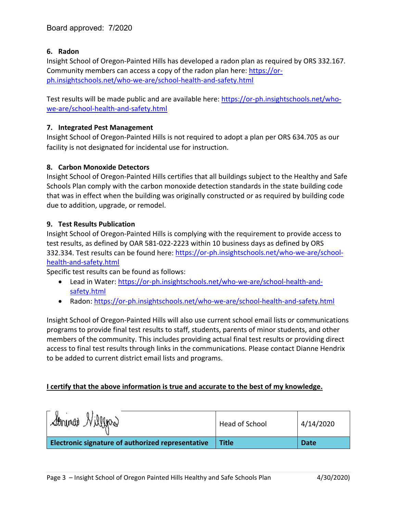#### **6. Radon**

Insight School of Oregon-Painted Hills has developed a radon plan as required by ORS 332.167. Community members can access a copy of the radon plan here: [https://or](https://or-ph.insightschools.net/who-we-are/school-health-and-safety.html)[ph.insightschools.net/who-we-are/school-health-and-safety.html](https://or-ph.insightschools.net/who-we-are/school-health-and-safety.html)

Test results will be made public and are available here: [https://or-ph.insightschools.net/who](https://or-ph.insightschools.net/who-we-are/school-health-and-safety.html)[we-are/school-health-and-safety.html](https://or-ph.insightschools.net/who-we-are/school-health-and-safety.html)

#### **7. Integrated Pest Management**

Insight School of Oregon-Painted Hills is not required to adopt a plan per ORS 634.705 as our facility is not designated for incidental use for instruction.

#### **8. Carbon Monoxide Detectors**

Insight School of Oregon-Painted Hills certifies that all buildings subject to the Healthy and Safe Schools Plan comply with the carbon monoxide detection standards in the state building code that was in effect when the building was originally constructed or as required by building code due to addition, upgrade, or remodel.

#### **9. Test Results Publication**

Insight School of Oregon-Painted Hills is complying with the requirement to provide access to test results, as defined by OAR 581-022-2223 within 10 business days as defined by ORS 332.334. Test results can be found here: [https://or-ph.insightschools.net/who-we-are/school](https://or-ph.insightschools.net/who-we-are/school-health-and-safety.html)[health-and-safety.html](https://or-ph.insightschools.net/who-we-are/school-health-and-safety.html)

Specific test results can be found as follows:

- Lead in Water: [https://or-ph.insightschools.net/who-we-are/school-health-and](https://or-ph.insightschools.net/who-we-are/school-health-and-safety.html)[safety.html](https://or-ph.insightschools.net/who-we-are/school-health-and-safety.html)
- Radon: <https://or-ph.insightschools.net/who-we-are/school-health-and-safety.html>

Insight School of Oregon-Painted Hills will also use current school email lists or communications programs to provide final test results to staff, students, parents of minor students, and other members of the community. This includes providing actual final test results or providing direct access to final test results through links in the communications. Please contact Dianne Hendrix to be added to current district email lists and programs.

#### **I certify that the above information is true and accurate to the best of my knowledge.**

| Strings Nillyns                                   | Head of School | 4/14/2020   |
|---------------------------------------------------|----------------|-------------|
| Electronic signature of authorized representative | <b>Title</b>   | <b>Date</b> |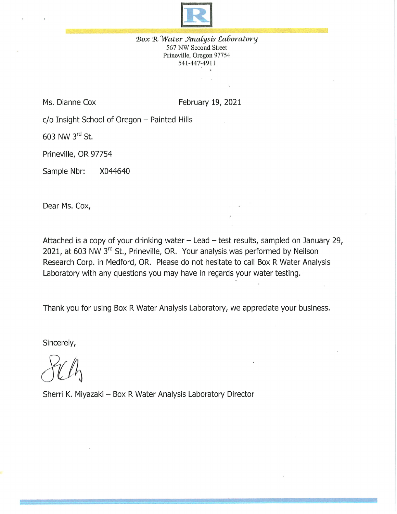

Box R Water Analysis Laboratory 567 NW Second Street Prineville, Oregon 97754 541-447-4911

Ms. Dianne Cox

February 19, 2021

c/o Insight School of Oregon - Painted Hills

603 NW 3rd St.

Prineville, OR 97754

Sample Nbr: X044640

Dear Ms. Cox,

Attached is a copy of your drinking water  $-$  Lead  $-$  test results, sampled on January 29, 2021, at 603 NW 3rd St., Prineville, OR. Your analysis was performed by Neilson Research Corp. in Medford, OR. Please do not hesitate to call Box R Water Analysis Laboratory with any questions you may have in regards your water testing.

Thank you for using Box R Water Analysis Laboratory, we appreciate your business.

Sincerely,

Sherri K. Miyazaki - Box R Water Analysis Laboratory Director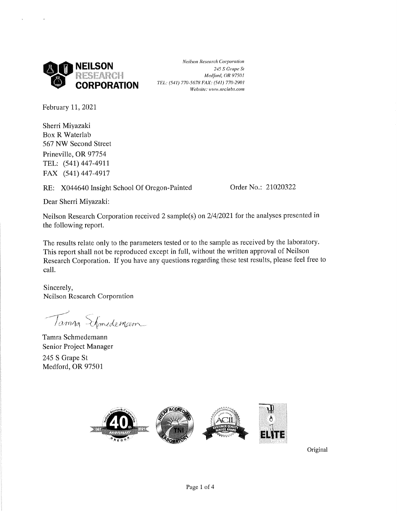

**Neilson Research Corporation** 245 S Grape St Medford, OR 97501 TEL: (541) 770-5678 FAX: (541) 770-2901 Website: www.nrclabs.com

February 11, 2021

Sherri Miyazaki **Box R Waterlab** 567 NW Second Street Prineville, OR 97754 TEL: (541) 447-4911 FAX (541) 447-4917

RE: X044640 Insight School Of Oregon-Painted

Order No.: 21020322

Dear Sherri Miyazaki:

Neilson Research Corporation received 2 sample(s) on 2/4/2021 for the analyses presented in the following report.

The results relate only to the parameters tested or to the sample as received by the laboratory. This report shall not be reproduced except in full, without the written approval of Neilson Research Corporation. If you have any questions regarding these test results, please feel free to call.

Sincerely, Neilson Research Corporation

Tarang Elmedemann

Tamra Schmedemann Senior Project Manager 245 S Grape St Medford, OR 97501



Original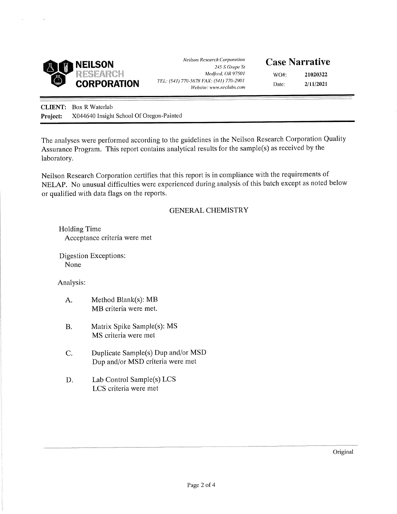

**Neilson Research Corporation** 245 S Grape St Medford, OR 97501 TEL: (541) 770-5678 FAX: (541) 770-2901 Website: www.nrclabs.com

# **Case Narrative**

WO#: 21020322  $2/11/2021$ Date:

**CLIENT:** Box R Waterlab X044640 Insight School Of Oregon-Painted Project:

The analyses were performed according to the guidelines in the Neilson Research Corporation Quality Assurance Program. This report contains analytical results for the sample(s) as received by the laboratory.

Neilson Research Corporation certifies that this report is in compliance with the requirements of NELAP. No unusual difficulties were experienced during analysis of this batch except as noted below or qualified with data flags on the reports.

#### **GENERAL CHEMISTRY**

**Holding Time** Acceptance criteria were met

Digestion Exceptions: None

Analysis:

- Method Blank(s): MB A. MB criteria were met.
- $B.$ Matrix Spike Sample(s): MS MS criteria were met
- C. Duplicate Sample(s) Dup and/or MSD Dup and/or MSD criteria were met
- D. Lab Control Sample(s) LCS LCS criteria were met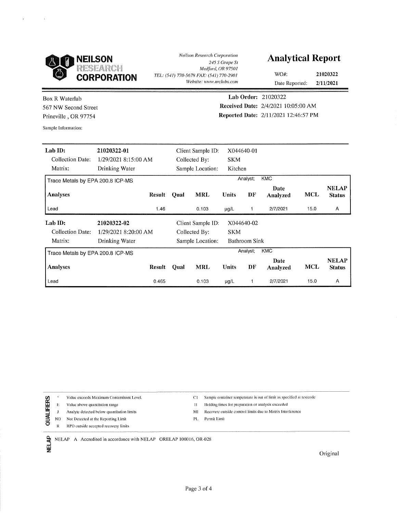

**Neilson Research Corporation** 245 S Grape St Medford, OR 97501 TEL: (541) 770-5678 FAX: (541) 770-2901 Website: www.nrclabs.com

## **Analytical Report**

WO#: 21020322

Date Reported:  $2/11/2021$ 

**Box R Waterlab** 567 NW Second Street Prineville, OR 97754

Sample Information:

Lab Order: 21020322 Received Date: 2/4/2021 10:05:00 AM Reported Date: 2/11/2021 12:46:57 PM

| Lab ID:                          | 21020322-01          | Client Sample ID: |               |                   |              | X044640-01    |                  |            |                               |
|----------------------------------|----------------------|-------------------|---------------|-------------------|--------------|---------------|------------------|------------|-------------------------------|
| Collection Date:                 | 1/29/2021 8:15:00 AM |                   |               | Collected By:     |              |               |                  |            |                               |
| Matrix:                          | Drinking Water       |                   |               | Sample Location:  | Kitchen      |               |                  |            |                               |
| Trace Metals by EPA 200.8 ICP-MS |                      |                   |               |                   |              | Analyst:      | <b>KMC</b>       |            |                               |
| <b>Analyses</b>                  | Result               |                   | Qual          | <b>MRL</b>        | Units        | DF            | Date<br>Analyzed | <b>MCL</b> | <b>NELAP</b><br><b>Status</b> |
| Lead                             |                      | 1.46              |               | 0.103             | $\mu$ g/L    | 1             | 2/7/2021         | 15.0       | Α                             |
| Lab ID:                          | 21020322-02          |                   |               | Client Sample ID: |              | X044640-02    |                  |            |                               |
| Collection Date:                 | 1/29/2021 8:20:00 AM |                   | Collected By: |                   | <b>SKM</b>   |               |                  |            |                               |
| Matrix:                          | Drinking Water       |                   |               | Sample Location:  |              | Bathroom Sink |                  |            |                               |
| Trace Metals by EPA 200.8 ICP-MS |                      |                   |               |                   | Analyst;     | <b>KMC</b>    |                  |            |                               |
| <b>Analyses</b>                  | Result               |                   | Qual          | <b>MRL</b>        | <b>Units</b> | DF            | Date<br>Analyzed | <b>MCL</b> | <b>NELAP</b><br><b>Status</b> |
| Lead                             |                      | 0.465             |               | 0.103             | $\mu$ g/L    |               | 2/7/2021         | 15.0       | Α                             |

Value exceeds Maximum Contaminant Level.  $\pm$ QUALIFIERS  $\mathbf{E}$ Value above quantitation range Analyte detected below quantitation limits  $\mathbf{J}$ 

Not Detected at the Reporting Limit  $\rm ND$ 

**NELAP** 

RPD outside accepted recovery limits  $\mathbb{R}$ 

Sample container temperature is out of limit as specified at testcode  $C1$ 

Holding times for preparation or analysis exceeded  $\mathbf{H}$ 

Recovery outside comtrol limits due to Matrix Interference MI

Permit Limit PI.

NELAP A Accredited in accordance with NELAP ORELAP 100016, OR-028